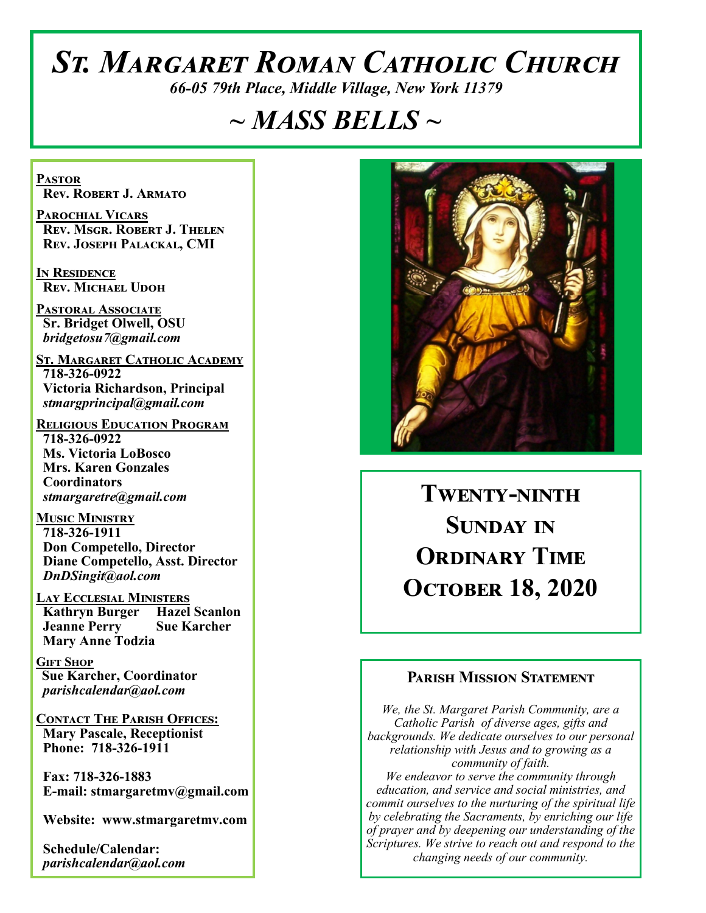# *St. Margaret Roman Catholic Church*

*66-05 79th Place, Middle Village, New York 11379*

# *~ MASS BELLS ~*

**Pastor Rev. Robert J. Armato**

**Parochial Vicars Rev. Msgr. Robert J. Thelen Rev. Joseph Palackal, CMI**

**In Residence Rev. Michael Udoh**

**Pastoral Associate Sr. Bridget Olwell, OSU**  *bridgetosu7@gmail.com*

**St. Margaret Catholic Academy 718-326-0922 Victoria Richardson, Principal**  *stmargprincipal@gmail.com*

**Religious Education Program 718-326-0922 Ms. Victoria LoBosco Mrs. Karen Gonzales Coordinators** *stmargaretre@gmail.com*

**Music Ministry 718-326-1911 Don Competello, Director Diane Competello, Asst. Director** *DnDSingit@aol.com*

**Lay Ecclesial Ministers Kathryn Burger Hazel Scanlon Jeanne Perry Sue Karcher Mary Anne Todzia**

**Gift Shop Sue Karcher, Coordinator** *parishcalendar@aol.com*

**Contact The Parish Offices: Mary Pascale, Receptionist Phone: 718-326-1911** 

 **Fax: 718-326-1883 E-mail: stmargaretmv@gmail.com**

 **Website: www.stmargaretmv.com**

 **Schedule/Calendar:** *parishcalendar@aol.com* 



# **Twenty-ninth Sunday in Ordinary Time October 18, 2020**

#### **Parish Mission Statement**

*We, the St. Margaret Parish Community, are a Catholic Parish of diverse ages, gifts and backgrounds. We dedicate ourselves to our personal relationship with Jesus and to growing as a community of faith. We endeavor to serve the community through education, and service and social ministries, and commit ourselves to the nurturing of the spiritual life by celebrating the Sacraments, by enriching our life of prayer and by deepening our understanding of the Scriptures. We strive to reach out and respond to the changing needs of our community.*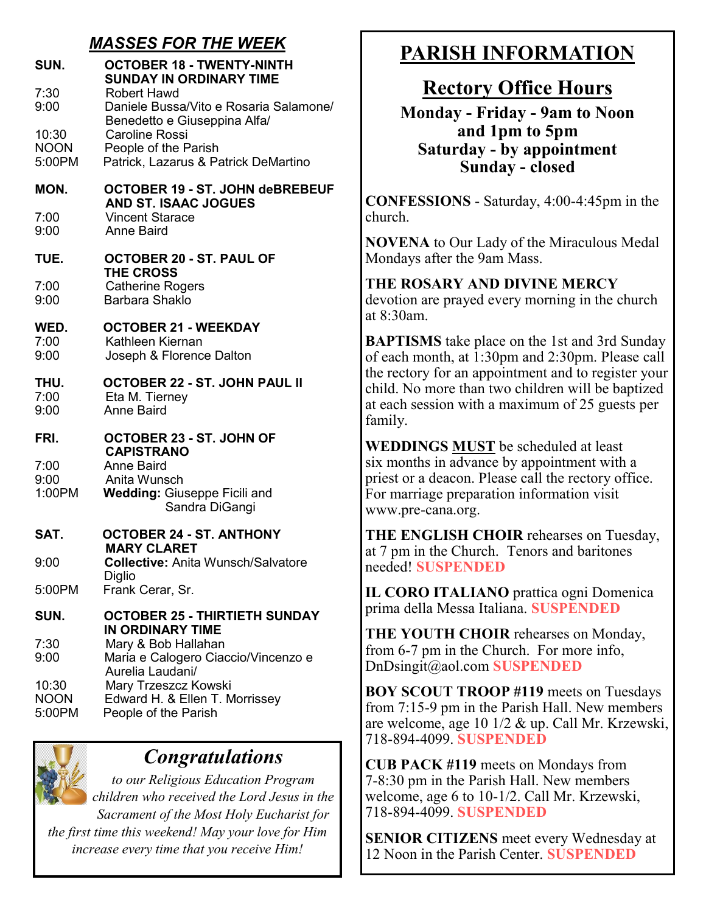## *MASSES FOR THE WEEK*

| SUN.<br>7:30<br>9:00<br>10:30  | <b>OCTOBER 18 - TWENTY-NINTH</b><br><b>SUNDAY IN ORDINARY TIME</b><br><b>Robert Hawd</b><br>Daniele Bussa/Vito e Rosaria Salamone/<br>Benedetto e Giuseppina Alfa/<br><b>Caroline Rossi</b> |
|--------------------------------|---------------------------------------------------------------------------------------------------------------------------------------------------------------------------------------------|
| <b>NOON</b><br>5:00PM          | People of the Parish<br>Patrick, Lazarus & Patrick DeMartino                                                                                                                                |
| MON.                           | <b>OCTOBER 19 - ST. JOHN deBREBEUF</b><br><b>AND ST. ISAAC JOGUES</b>                                                                                                                       |
| 7:00<br>9:00                   | <b>Vincent Starace</b><br><b>Anne Baird</b>                                                                                                                                                 |
| TUE.                           | OCTOBER 20 - ST. PAUL OF<br><b>THE CROSS</b>                                                                                                                                                |
| 7:00<br>9:00                   | <b>Catherine Rogers</b><br>Barbara Shaklo                                                                                                                                                   |
| WED.<br>7:00<br>9:00           | <b>OCTOBER 21 - WEEKDAY</b><br>Kathleen Kiernan<br>Joseph & Florence Dalton                                                                                                                 |
| THU.<br>7:00<br>9:00           | OCTOBER 22 - ST. JOHN PAUL II<br>Eta M. Tierney<br><b>Anne Baird</b>                                                                                                                        |
| FRI.                           | OCTOBER 23 - ST. JOHN OF<br><b>CAPISTRANO</b>                                                                                                                                               |
| 7:00<br>9:00<br>1:00PM         | <b>Anne Baird</b><br>Anita Wunsch<br><b>Wedding: Giuseppe Ficili and</b><br>Sandra DiGangi                                                                                                  |
| SAT.                           | <b>OCTOBER 24 - ST. ANTHONY</b><br><b>MARY CLARET</b>                                                                                                                                       |
| 9:00                           | <b>Collective: Anita Wunsch/Salvatore</b>                                                                                                                                                   |
| 5:00PM                         | <b>Diglio</b><br>Frank Cerar, Sr.                                                                                                                                                           |
| SUN.                           | <b>OCTOBER 25 - THIRTIETH SUNDAY</b><br>IN ORDINARY TIME                                                                                                                                    |
| 7:30<br>9:00                   | Mary & Bob Hallahan<br>Maria e Calogero Ciaccio/Vincenzo e<br>Aurelia Laudani/                                                                                                              |
| 10:30<br><b>NOON</b><br>5:00PM | Mary Trzeszcz Kowski<br>Edward H. & Ellen T. Morrissey<br>People of the Parish                                                                                                              |



## *Congratulations*

*to our Religious Education Program children who received the Lord Jesus in the Sacrament of the Most Holy Eucharist for the first time this weekend! May your love for Him increase every time that you receive Him!* 

# **PARISH INFORMATION**

## **Rectory Office Hours**

**Monday - Friday - 9am to Noon and 1pm to 5pm Saturday - by appointment Sunday - closed**

**CONFESSIONS** - Saturday, 4:00-4:45pm in the church.

**NOVENA** to Our Lady of the Miraculous Medal Mondays after the 9am Mass.

**THE ROSARY AND DIVINE MERCY** devotion are prayed every morning in the church at 8:30am.

**BAPTISMS** take place on the 1st and 3rd Sunday of each month, at 1:30pm and 2:30pm. Please call the rectory for an appointment and to register your child. No more than two children will be baptized at each session with a maximum of 25 guests per family.

**WEDDINGS MUST** be scheduled at least six months in advance by appointment with a priest or a deacon. Please call the rectory office. For marriage preparation information visit www.pre-cana.org.

**THE ENGLISH CHOIR** rehearses on Tuesday, at 7 pm in the Church. Tenors and baritones needed! **SUSPENDED**

**IL CORO ITALIANO** prattica ogni Domenica prima della Messa Italiana. **SUSPENDED**

**THE YOUTH CHOIR** rehearses on Monday, from 6-7 pm in the Church. For more info, DnDsingit@aol.com **SUSPENDED**

**BOY SCOUT TROOP #119** meets on Tuesdays from 7:15-9 pm in the Parish Hall. New members are welcome, age 10 1/2 & up. Call Mr. Krzewski, 718-894-4099. **SUSPENDED**

**CUB PACK #119** meets on Mondays from 7-8:30 pm in the Parish Hall. New members welcome, age 6 to 10-1/2. Call Mr. Krzewski, 718-894-4099. **SUSPENDED**

**SENIOR CITIZENS** meet every Wednesday at 12 Noon in the Parish Center. **SUSPENDED**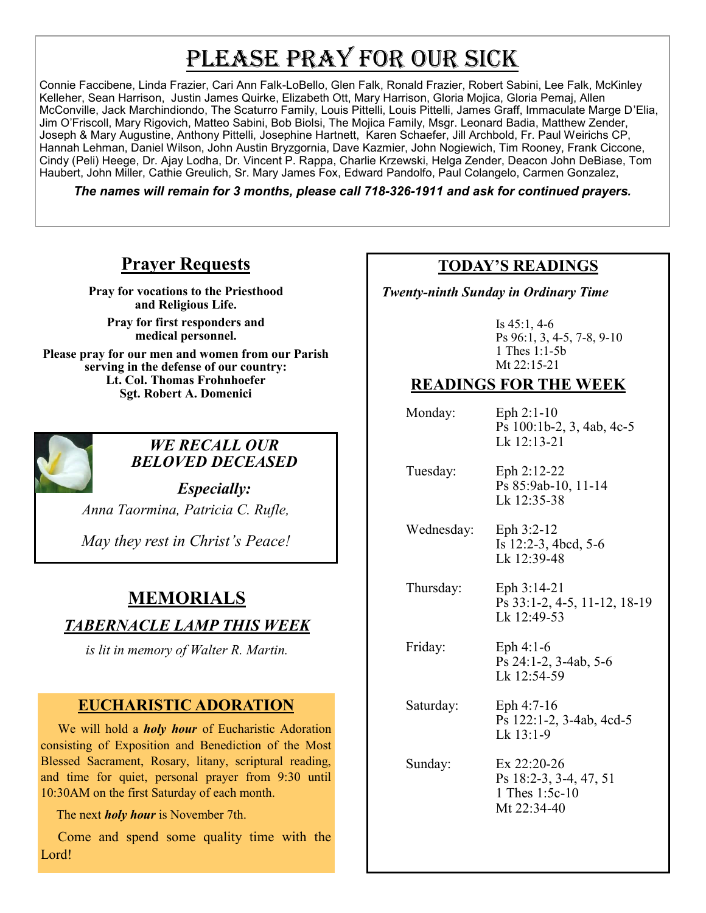# PLEASE PRAY FOR OUR SICK

Connie Faccibene, Linda Frazier, Cari Ann Falk-LoBello, Glen Falk, Ronald Frazier, Robert Sabini, Lee Falk, McKinley Kelleher, Sean Harrison, Justin James Quirke, Elizabeth Ott, Mary Harrison, Gloria Mojica, Gloria Pemaj, Allen McConville, Jack Marchindiondo, The Scaturro Family, Louis Pittelli, Louis Pittelli, James Graff, Immaculate Marge D'Elia, Jim O'Friscoll, Mary Rigovich, Matteo Sabini, Bob Biolsi, The Mojica Family, Msgr. Leonard Badia, Matthew Zender, Joseph & Mary Augustine, Anthony Pittelli, Josephine Hartnett, Karen Schaefer, Jill Archbold, Fr. Paul Weirichs CP, Hannah Lehman, Daniel Wilson, John Austin Bryzgornia, Dave Kazmier, John Nogiewich, Tim Rooney, Frank Ciccone, Cindy (Peli) Heege, Dr. Ajay Lodha, Dr. Vincent P. Rappa, Charlie Krzewski, Helga Zender, Deacon John DeBiase, Tom Haubert, John Miller, Cathie Greulich, Sr. Mary James Fox, Edward Pandolfo, Paul Colangelo, Carmen Gonzalez,

*The names will remain for 3 months, please call 718-326-1911 and ask for continued prayers.*

### **Prayer Requests**

**Pray for vocations to the Priesthood and Religious Life.** 

**Pray for first responders and medical personnel.**

**Please pray for our men and women from our Parish serving in the defense of our country: Lt. Col. Thomas Frohnhoefer Sgt. Robert A. Domenici** 



#### *WE RECALL OUR BELOVED DECEASED*

*Especially: Anna Taormina, Patricia C. Rufle,* 

*May they rest in Christ's Peace!*

## **MEMORIALS**

### *TABERNACLE LAMP THIS WEEK*

*is lit in memory of Walter R. Martin.* 

#### **EUCHARISTIC ADORATION**

 We will hold a *holy hour* of Eucharistic Adoration consisting of Exposition and Benediction of the Most Blessed Sacrament, Rosary, litany, scriptural reading, and time for quiet, personal prayer from 9:30 until 10:30AM on the first Saturday of each month.

The next *holy hour* is November 7th.

 Come and spend some quality time with the Lord!

#### **TODAY'S READINGS**

 *Twenty-ninth Sunday in Ordinary Time*

Is 45:1, 4-6 Ps 96:1, 3, 4-5, 7-8, 9-10 1 Thes 1:1-5b Mt 22:15-21

#### **READINGS FOR THE WEEK**

 Monday: Eph 2:1-10 Ps 100:1b-2, 3, 4ab, 4c-5 Lk 12:13-21

 Tuesday: Eph 2:12-22 Ps 85:9ab-10, 11-14 Lk 12:35-38

 Wednesday: Eph 3:2-12 Is 12:2-3, 4bcd, 5-6 Lk 12:39-48

 Thursday: Eph 3:14-21 Ps 33:1-2, 4-5, 11-12, 18-19 Lk 12:49-53

 Friday: Eph 4:1-6 Ps 24:1-2, 3-4ab, 5-6 Lk  $12:54-59$ 

 Saturday: Eph 4:7-16 Ps 122:1-2, 3-4ab, 4cd-5 Lk 13:1-9

 Sunday: Ex 22:20-26 Ps 18:2-3, 3-4, 47, 51 1 Thes 1:5c-10 Mt 22:34-40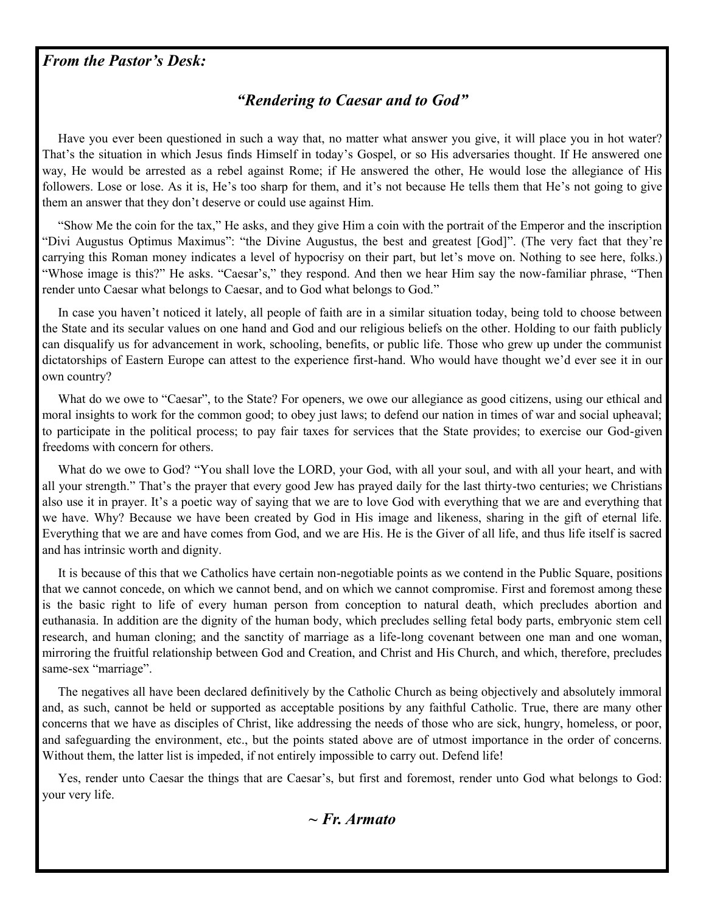#### *From the Pastor's Desk:*

#### *"Rendering to Caesar and to God"*

Have you ever been questioned in such a way that, no matter what answer you give, it will place you in hot water? That's the situation in which Jesus finds Himself in today's Gospel, or so His adversaries thought. If He answered one way, He would be arrested as a rebel against Rome; if He answered the other, He would lose the allegiance of His followers. Lose or lose. As it is, He's too sharp for them, and it's not because He tells them that He's not going to give them an answer that they don't deserve or could use against Him.

 "Show Me the coin for the tax," He asks, and they give Him a coin with the portrait of the Emperor and the inscription "Divi Augustus Optimus Maximus": "the Divine Augustus, the best and greatest [God]". (The very fact that they're carrying this Roman money indicates a level of hypocrisy on their part, but let's move on. Nothing to see here, folks.) "Whose image is this?" He asks. "Caesar's," they respond. And then we hear Him say the now-familiar phrase, "Then render unto Caesar what belongs to Caesar, and to God what belongs to God."

 In case you haven't noticed it lately, all people of faith are in a similar situation today, being told to choose between the State and its secular values on one hand and God and our religious beliefs on the other. Holding to our faith publicly can disqualify us for advancement in work, schooling, benefits, or public life. Those who grew up under the communist dictatorships of Eastern Europe can attest to the experience first-hand. Who would have thought we'd ever see it in our own country?

What do we owe to "Caesar", to the State? For openers, we owe our allegiance as good citizens, using our ethical and moral insights to work for the common good; to obey just laws; to defend our nation in times of war and social upheaval; to participate in the political process; to pay fair taxes for services that the State provides; to exercise our God-given freedoms with concern for others.

 What do we owe to God? "You shall love the LORD, your God, with all your soul, and with all your heart, and with all your strength." That's the prayer that every good Jew has prayed daily for the last thirty-two centuries; we Christians also use it in prayer. It's a poetic way of saying that we are to love God with everything that we are and everything that we have. Why? Because we have been created by God in His image and likeness, sharing in the gift of eternal life. Everything that we are and have comes from God, and we are His. He is the Giver of all life, and thus life itself is sacred and has intrinsic worth and dignity.

 It is because of this that we Catholics have certain non-negotiable points as we contend in the Public Square, positions that we cannot concede, on which we cannot bend, and on which we cannot compromise. First and foremost among these is the basic right to life of every human person from conception to natural death, which precludes abortion and euthanasia. In addition are the dignity of the human body, which precludes selling fetal body parts, embryonic stem cell research, and human cloning; and the sanctity of marriage as a life-long covenant between one man and one woman, mirroring the fruitful relationship between God and Creation, and Christ and His Church, and which, therefore, precludes same-sex "marriage".

 The negatives all have been declared definitively by the Catholic Church as being objectively and absolutely immoral and, as such, cannot be held or supported as acceptable positions by any faithful Catholic. True, there are many other concerns that we have as disciples of Christ, like addressing the needs of those who are sick, hungry, homeless, or poor, and safeguarding the environment, etc., but the points stated above are of utmost importance in the order of concerns. Without them, the latter list is impeded, if not entirely impossible to carry out. Defend life!

 Yes, render unto Caesar the things that are Caesar's, but first and foremost, render unto God what belongs to God: your very life.

*~ Fr. Armato*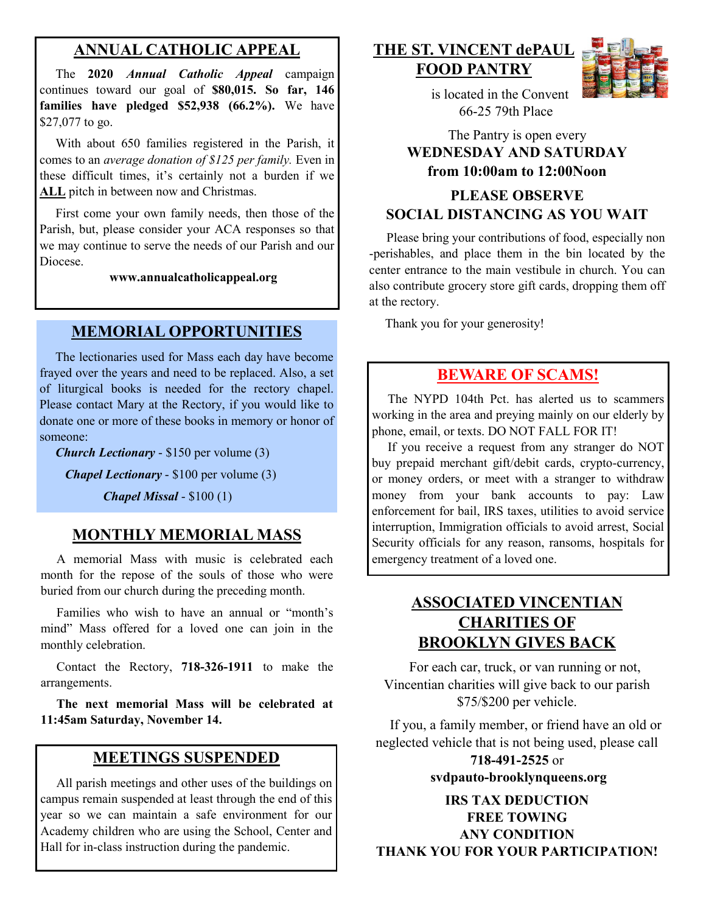### **ANNUAL CATHOLIC APPEAL**

 The **2020** *Annual Catholic Appeal* campaign continues toward our goal of **\$80,015. So far, 146 families have pledged \$52,938 (66.2%).** We have \$27,077 to go.

With about 650 families registered in the Parish, it comes to an *average donation of \$125 per family.* Even in these difficult times, it's certainly not a burden if we **ALL** pitch in between now and Christmas.

 First come your own family needs, then those of the Parish, but, please consider your ACA responses so that we may continue to serve the needs of our Parish and our Diocese.

**www.annualcatholicappeal.org** 

#### **MEMORIAL OPPORTUNITIES**

 The lectionaries used for Mass each day have become frayed over the years and need to be replaced. Also, a set of liturgical books is needed for the rectory chapel. Please contact Mary at the Rectory, if you would like to donate one or more of these books in memory or honor of someone:

*Church Lectionary* - \$150 per volume (3)

*Chapel Lectionary* - \$100 per volume (3)

*Chapel Missal* - \$100 (1)

#### **MONTHLY MEMORIAL MASS**

 A memorial Mass with music is celebrated each month for the repose of the souls of those who were buried from our church during the preceding month.

 Families who wish to have an annual or "month's mind" Mass offered for a loved one can join in the monthly celebration.

 Contact the Rectory, **718-326-1911** to make the arrangements.

 **The next memorial Mass will be celebrated at 11:45am Saturday, November 14.** 

#### **MEETINGS SUSPENDED**

 All parish meetings and other uses of the buildings on campus remain suspended at least through the end of this year so we can maintain a safe environment for our Academy children who are using the School, Center and Hall for in-class instruction during the pandemic.

**THE ST. VINCENT dePAUL FOOD PANTRY**



 is located in the Convent 66-25 79th Place

#### The Pantry is open every **WEDNESDAY AND SATURDAY from 10:00am to 12:00Noon**

#### **PLEASE OBSERVE SOCIAL DISTANCING AS YOU WAIT**

 Please bring your contributions of food, especially non -perishables, and place them in the bin located by the center entrance to the main vestibule in church. You can also contribute grocery store gift cards, dropping them off at the rectory.

Thank you for your generosity!

#### **BEWARE OF SCAMS!**

 The NYPD 104th Pct. has alerted us to scammers working in the area and preying mainly on our elderly by phone, email, or texts. DO NOT FALL FOR IT!

 If you receive a request from any stranger do NOT buy prepaid merchant gift/debit cards, crypto-currency, or money orders, or meet with a stranger to withdraw money from your bank accounts to pay: Law enforcement for bail, IRS taxes, utilities to avoid service interruption, Immigration officials to avoid arrest, Social Security officials for any reason, ransoms, hospitals for emergency treatment of a loved one.

#### **ASSOCIATED VINCENTIAN CHARITIES OF BROOKLYN GIVES BACK**

 For each car, truck, or van running or not, Vincentian charities will give back to our parish \$75/\$200 per vehicle.

 If you, a family member, or friend have an old or neglected vehicle that is not being used, please call

> **718-491-2525** or **svdpauto-brooklynqueens.org**

**IRS TAX DEDUCTION FREE TOWING ANY CONDITION THANK YOU FOR YOUR PARTICIPATION!**